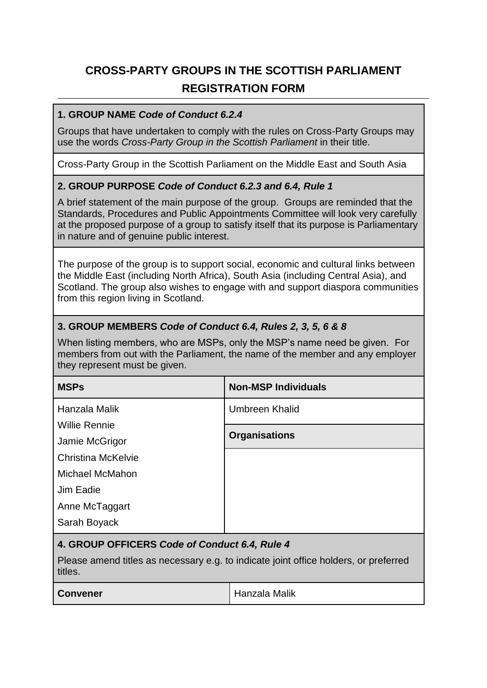# **CROSS-PARTY GROUPS IN THE SCOTTISH PARLIAMENT REGISTRATION FORM**

#### **1. GROUP NAME** *Code of Conduct 6.2.4*

Groups that have undertaken to comply with the rules on Cross-Party Groups may use the words *Cross-Party Group in the Scottish Parliament* in their title.

Cross-Party Group in the Scottish Parliament on the Middle East and South Asia

#### **2. GROUP PURPOSE** *Code of Conduct 6.2.3 and 6.4, Rule 1*

A brief statement of the main purpose of the group. Groups are reminded that the Standards, Procedures and Public Appointments Committee will look very carefully at the proposed purpose of a group to satisfy itself that its purpose is Parliamentary in nature and of genuine public interest.

The purpose of the group is to support social, economic and cultural links between the Middle East (including North Africa), South Asia (including Central Asia), and Scotland. The group also wishes to engage with and support diaspora communities from this region living in Scotland.

#### **3. GROUP MEMBERS** *Code of Conduct 6.4, Rules 2, 3, 5, 6 & 8*

When listing members, who are MSPs, only the MSP's name need be given. For members from out with the Parliament, the name of the member and any employer they represent must be given.

| <b>MSPs</b>                                                                                     | <b>Non-MSP Individuals</b> |  |
|-------------------------------------------------------------------------------------------------|----------------------------|--|
| Hanzala Malik                                                                                   | Umbreen Khalid             |  |
| <b>Willie Rennie</b>                                                                            |                            |  |
| Jamie McGrigor                                                                                  | <b>Organisations</b>       |  |
| Christina McKelvie                                                                              |                            |  |
| Michael McMahon                                                                                 |                            |  |
| Jim Eadie                                                                                       |                            |  |
| Anne McTaggart                                                                                  |                            |  |
| Sarah Boyack                                                                                    |                            |  |
| 4. GROUP OFFICERS Code of Conduct 6.4, Rule 4                                                   |                            |  |
| Please amend titles as necessary e.g. to indicate joint office holders, or preferred<br>titles. |                            |  |

**Convener Hanzala Malik**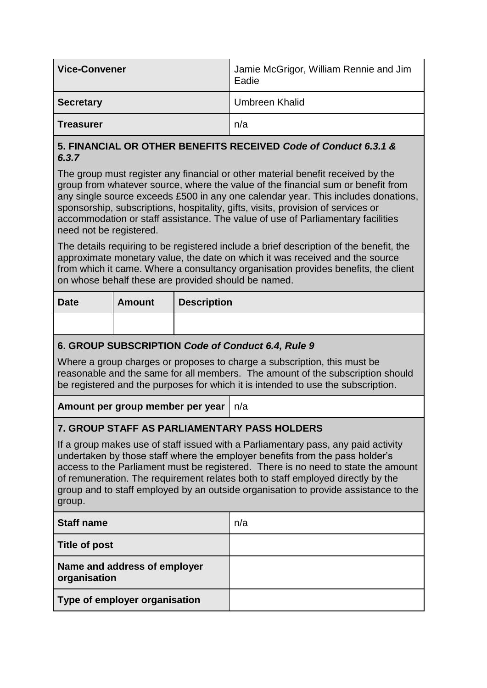| Vice-Convener    | Jamie McGrigor, William Rennie and Jim<br>Eadie |
|------------------|-------------------------------------------------|
| <b>Secretary</b> | <b>Umbreen Khalid</b>                           |
| <b>Treasurer</b> | n/a                                             |

#### **5. FINANCIAL OR OTHER BENEFITS RECEIVED** *Code of Conduct 6.3.1 & 6.3.7*

The group must register any financial or other material benefit received by the group from whatever source, where the value of the financial sum or benefit from any single source exceeds £500 in any one calendar year. This includes donations, sponsorship, subscriptions, hospitality, gifts, visits, provision of services or accommodation or staff assistance. The value of use of Parliamentary facilities need not be registered.

The details requiring to be registered include a brief description of the benefit, the approximate monetary value, the date on which it was received and the source from which it came. Where a consultancy organisation provides benefits, the client on whose behalf these are provided should be named.

| <b>Date</b> | <b>Amount</b> | <b>Description</b> |
|-------------|---------------|--------------------|
|             |               |                    |

## **6. GROUP SUBSCRIPTION** *Code of Conduct 6.4, Rule 9*

Where a group charges or proposes to charge a subscription, this must be reasonable and the same for all members. The amount of the subscription should be registered and the purposes for which it is intended to use the subscription.

**Amount per group member per year** n/a

## **7. GROUP STAFF AS PARLIAMENTARY PASS HOLDERS**

If a group makes use of staff issued with a Parliamentary pass, any paid activity undertaken by those staff where the employer benefits from the pass holder's access to the Parliament must be registered. There is no need to state the amount of remuneration. The requirement relates both to staff employed directly by the group and to staff employed by an outside organisation to provide assistance to the group.

| <b>Staff name</b>                            | n/a |
|----------------------------------------------|-----|
| Title of post                                |     |
| Name and address of employer<br>organisation |     |
| Type of employer organisation                |     |